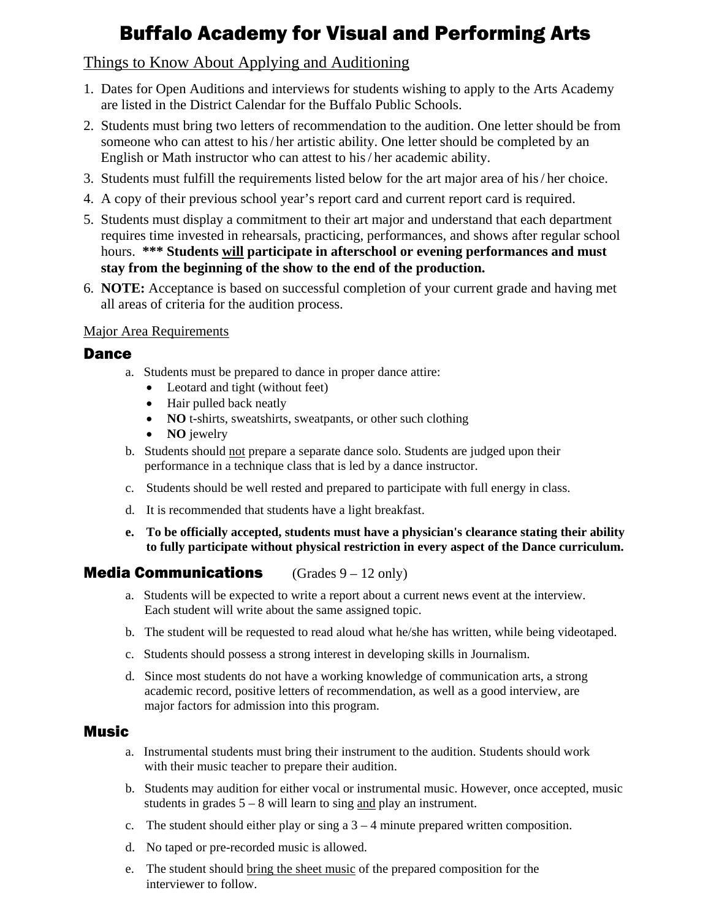# Buffalo Academy for Visual and Performing Arts

## Things to Know About Applying and Auditioning

- 1. Dates for Open Auditions and interviews for students wishing to apply to the Arts Academy are listed in the District Calendar for the Buffalo Public Schools.
- 2. Students must bring two letters of recommendation to the audition. One letter should be from someone who can attest to his/ her artistic ability. One letter should be completed by an English or Math instructor who can attest to his/ her academic ability.
- 3. Students must fulfill the requirements listed below for the art major area of his/ her choice.
- 4. A copy of their previous school year's report card and current report card is required.
- 5. Students must display a commitment to their art major and understand that each department requires time invested in rehearsals, practicing, performances, and shows after regular school hours. **\*\*\* Students will participate in afterschool or evening performances and must stay from the beginning of the show to the end of the production.**
- 6. **NOTE:** Acceptance is based on successful completion of your current grade and having met all areas of criteria for the audition process.

#### Major Area Requirements

#### **Dance**

- a. Students must be prepared to dance in proper dance attire:
	- Leotard and tight (without feet)
	- Hair pulled back neatly
	- **NO** t-shirts, sweatshirts, sweatpants, or other such clothing
	- **NO** jewelry
- b. Students should not prepare a separate dance solo. Students are judged upon their performance in a technique class that is led by a dance instructor.
- c. Students should be well rested and prepared to participate with full energy in class.
- d. It is recommended that students have a light breakfast.
- **e. To be officially accepted, students must have a physician's clearance stating their ability to fully participate without physical restriction in every aspect of the Dance curriculum.**

## **Media Communications** (Grades  $9 - 12$  only)

- a. Students will be expected to write a report about a current news event at the interview. Each student will write about the same assigned topic.
- b. The student will be requested to read aloud what he/she has written, while being videotaped.
- c. Students should possess a strong interest in developing skills in Journalism.
- d. Since most students do not have a working knowledge of communication arts, a strong academic record, positive letters of recommendation, as well as a good interview, are major factors for admission into this program.

#### Music

- a. Instrumental students must bring their instrument to the audition. Students should work with their music teacher to prepare their audition.
- b. Students may audition for either vocal or instrumental music. However, once accepted, music students in grades  $5 - 8$  will learn to sing and play an instrument.
- c. The student should either play or sing a  $3 4$  minute prepared written composition.
- d. No taped or pre-recorded music is allowed.
- e. The student should bring the sheet music of the prepared composition for the interviewer to follow.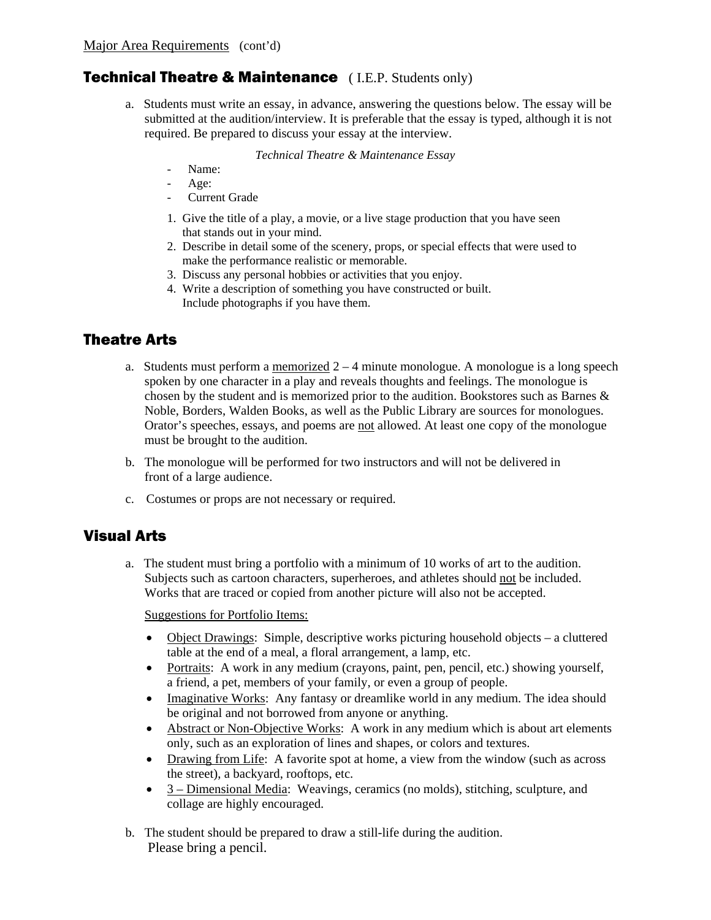### **Technical Theatre & Maintenance** ( I.E.P. Students only)

a. Students must write an essay, in advance, answering the questions below. The essay will be submitted at the audition/interview. It is preferable that the essay is typed, although it is not required. Be prepared to discuss your essay at the interview.

*Technical Theatre & Maintenance Essay* 

- Name:
- Age:
- Current Grade
- 1. Give the title of a play, a movie, or a live stage production that you have seen that stands out in your mind.
- 2. Describe in detail some of the scenery, props, or special effects that were used to make the performance realistic or memorable.
- 3. Discuss any personal hobbies or activities that you enjoy.
- 4. Write a description of something you have constructed or built. Include photographs if you have them.

## Theatre Arts

- a. Students must perform a memorized  $2 4$  minute monologue. A monologue is a long speech spoken by one character in a play and reveals thoughts and feelings. The monologue is chosen by the student and is memorized prior to the audition. Bookstores such as Barnes & Noble, Borders, Walden Books, as well as the Public Library are sources for monologues. Orator's speeches, essays, and poems are not allowed. At least one copy of the monologue must be brought to the audition.
- b. The monologue will be performed for two instructors and will not be delivered in front of a large audience.
- c. Costumes or props are not necessary or required.

## Visual Arts

 a. The student must bring a portfolio with a minimum of 10 works of art to the audition. Subjects such as cartoon characters, superheroes, and athletes should not be included. Works that are traced or copied from another picture will also not be accepted.

Suggestions for Portfolio Items:

- Object Drawings: Simple, descriptive works picturing household objects a cluttered table at the end of a meal, a floral arrangement, a lamp, etc.
- Portraits: A work in any medium (crayons, paint, pen, pencil, etc.) showing yourself, a friend, a pet, members of your family, or even a group of people.
- Imaginative Works: Any fantasy or dreamlike world in any medium. The idea should be original and not borrowed from anyone or anything.
- Abstract or Non-Objective Works: A work in any medium which is about art elements only, such as an exploration of lines and shapes, or colors and textures.
- Drawing from Life: A favorite spot at home, a view from the window (such as across the street), a backyard, rooftops, etc.
- $\bullet$  3 Dimensional Media: Weavings, ceramics (no molds), stitching, sculpture, and collage are highly encouraged.
- b. The student should be prepared to draw a still-life during the audition. Please bring a pencil.